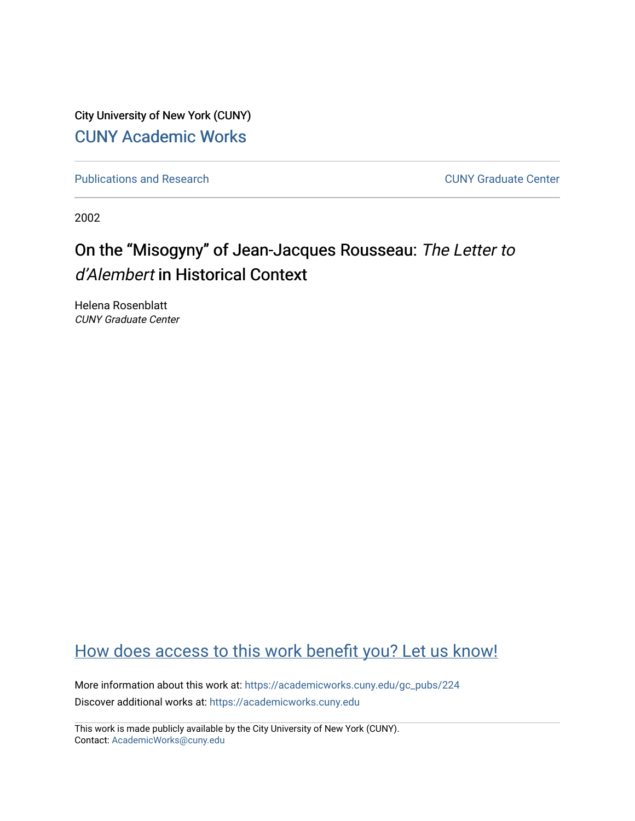City University of New York (CUNY) [CUNY Academic Works](https://academicworks.cuny.edu/) 

[Publications and Research](https://academicworks.cuny.edu/gc_pubs) [CUNY Graduate Center](https://academicworks.cuny.edu/gc) 

2002

## On the ''Misogyny'' of Jean-Jacques Rousseau: The Letter to d'Alembert in Historical Context

Helena Rosenblatt CUNY Graduate Center

## [How does access to this work benefit you? Let us know!](http://ols.cuny.edu/academicworks/?ref=https://academicworks.cuny.edu/gc_pubs/224)

More information about this work at: [https://academicworks.cuny.edu/gc\\_pubs/224](https://academicworks.cuny.edu/gc_pubs/224) Discover additional works at: [https://academicworks.cuny.edu](https://academicworks.cuny.edu/?)

This work is made publicly available by the City University of New York (CUNY). Contact: [AcademicWorks@cuny.edu](mailto:AcademicWorks@cuny.edu)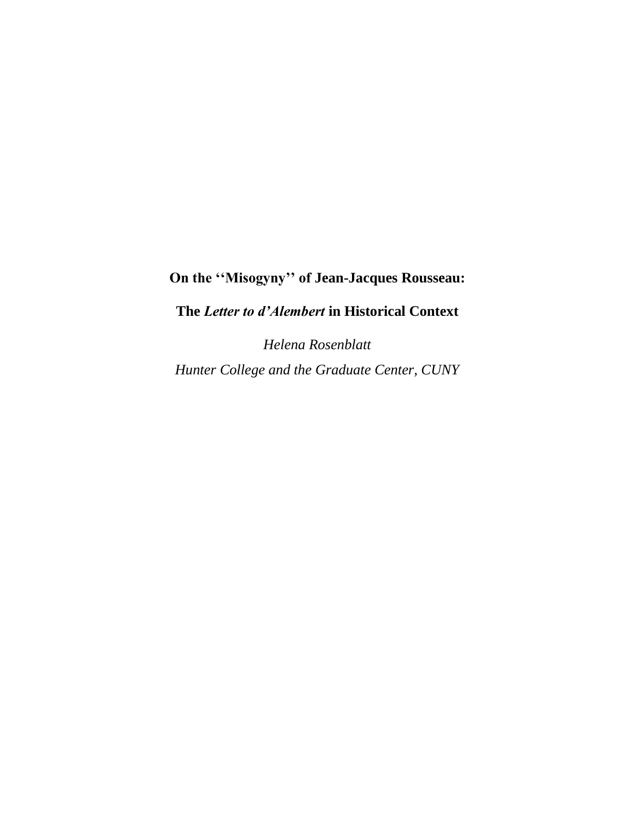## **On the ''Misogyny'' of Jean-Jacques Rousseau:**

**The** *Letter to d'Alembert* **in Historical Context**

*Helena Rosenblatt Hunter College and the Graduate Center, CUNY*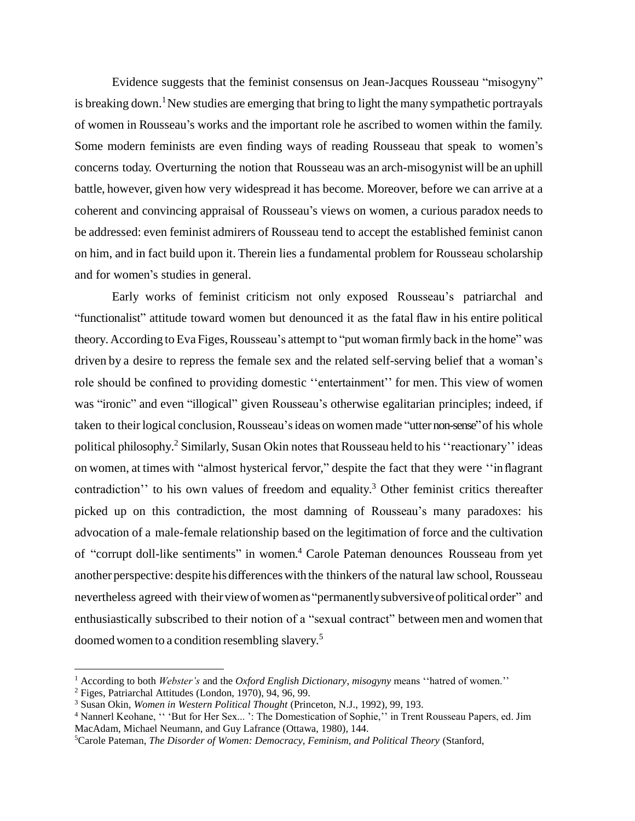Evidence suggests that the feminist consensus on Jean-Jacques Rousseau "misogyny" is breaking down.<sup>1</sup> New studies are emerging that bring to light the many sympathetic portrayals of women in Rousseau's works and the important role he ascribed to women within the family. Some modern feminists are even finding ways of reading Rousseau that speak to women's concerns today. Overturning the notion that Rousseau was an arch-misogynist will be an uphill battle, however, given how very widespread it has become. Moreover, before we can arrive at a coherent and convincing appraisal of Rousseau's views on women, a curious paradox needs to be addressed: even feminist admirers of Rousseau tend to accept the established feminist canon on him, and in fact build upon it. Therein lies a fundamental problem for Rousseau scholarship and for women's studies in general.

Early works of feminist criticism not only exposed Rousseau's patriarchal and "functionalist" attitude toward women but denounced it as the fatal flaw in his entire political theory. According to Eva Figes, Rousseau's attempt to "put woman firmly back in the home" was driven by a desire to repress the female sex and the related self-serving belief that a woman's role should be confined to providing domestic ''entertainment'' for men. This view of women was "ironic" and even "illogical" given Rousseau's otherwise egalitarian principles; indeed, if taken to their logical conclusion, Rousseau's ideas on women made "utter non-sense" of his whole political philosophy.<sup>2</sup> Similarly, Susan Okin notes that Rousseau held to his "reactionary" ideas on women, at times with "almost hysterical fervor," despite the fact that they were ''in flagrant contradiction'' to his own values of freedom and equality.<sup>3</sup> Other feminist critics thereafter picked up on this contradiction, the most damning of Rousseau's many paradoxes: his advocation of a male-female relationship based on the legitimation of force and the cultivation of "corrupt doll-like sentiments" in women.<sup>4</sup> Carole Pateman denounces Rousseau from yet another perspective: despite his differences with the thinkers of the natural law school, Rousseau nevertheless agreed with theirviewofwomenas "permanentlysubversiveof politicalorder" and enthusiastically subscribed to their notion of a "sexual contract" between men and women that doomed women to a condition resembling slavery.<sup>5</sup>

<sup>1</sup> According to both *Webster's* and the *Oxford English Dictionary*, *misogyny* means ''hatred of women.''

<sup>2</sup> Figes, Patriarchal Attitudes (London, 1970), 94, 96, 99.

<sup>3</sup> Susan Okin, *Women in Western Political Thought* (Princeton, N.J., 1992), 99, 193.

<sup>&</sup>lt;sup>4</sup> Nannerl Keohane, "' 'But for Her Sex... ': The Domestication of Sophie," in Trent Rousseau Papers, ed. Jim MacAdam, Michael Neumann, and Guy Lafrance (Ottawa, 1980), 144.

<sup>&</sup>lt;sup>5</sup>Carole Pateman, *The Disorder of Women: Democracy, Feminism, and Political Theory (Stanford,*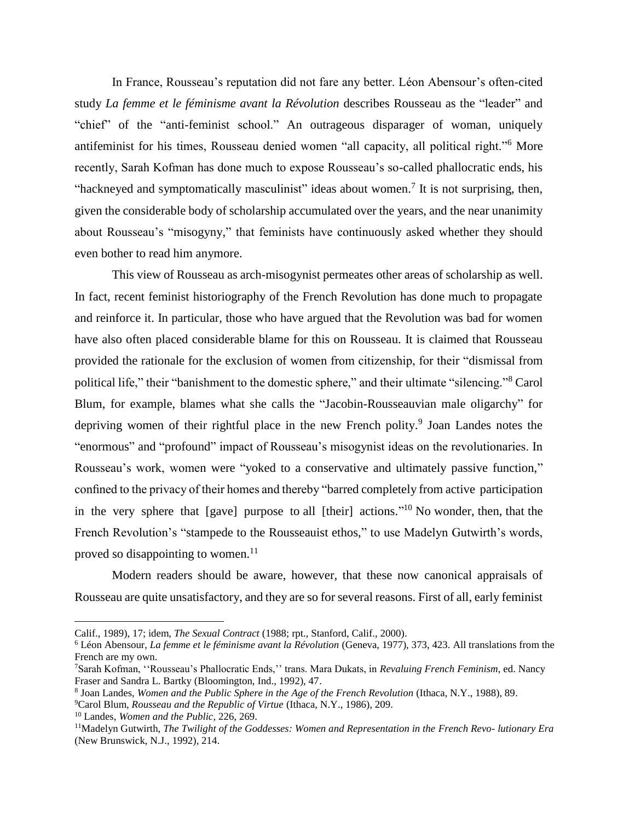In France, Rousseau's reputation did not fare any better. Léon Abensour's often-cited study *La femme et le féminisme avant la Révolution* describes Rousseau as the "leader" and "chief" of the "anti-feminist school." An outrageous disparager of woman, uniquely antifeminist for his times, Rousseau denied women "all capacity, all political right."<sup>6</sup> More recently, Sarah Kofman has done much to expose Rousseau's so-called phallocratic ends, his "hackneyed and symptomatically masculinist" ideas about women.<sup>7</sup> It is not surprising, then, given the considerable body of scholarship accumulated over the years, and the near unanimity about Rousseau's "misogyny," that feminists have continuously asked whether they should even bother to read him anymore.

This view of Rousseau as arch-misogynist permeates other areas of scholarship as well. In fact, recent feminist historiography of the French Revolution has done much to propagate and reinforce it. In particular, those who have argued that the Revolution was bad for women have also often placed considerable blame for this on Rousseau. It is claimed that Rousseau provided the rationale for the exclusion of women from citizenship, for their "dismissal from political life," their "banishment to the domestic sphere," and their ultimate "silencing."<sup>8</sup> Carol Blum, for example, blames what she calls the "Jacobin-Rousseauvian male oligarchy" for depriving women of their rightful place in the new French polity.<sup>9</sup> Joan Landes notes the "enormous" and "profound" impact of Rousseau's misogynist ideas on the revolutionaries. In Rousseau's work, women were "yoked to a conservative and ultimately passive function," confined to the privacy of their homes and thereby "barred completely from active participation in the very sphere that [gave] purpose to all [their] actions."<sup>10</sup> No wonder, then, that the French Revolution's "stampede to the Rousseauist ethos," to use Madelyn Gutwirth's words, proved so disappointing to women.<sup>11</sup>

Modern readers should be aware, however, that these now canonical appraisals of Rousseau are quite unsatisfactory, and they are so for several reasons. First of all, early feminist

Calif., 1989), 17; idem, *The Sexual Contract* (1988; rpt., Stanford, Calif., 2000).

<sup>6</sup> Léon Abensour, *La femme et le féminisme avant la Révolution* (Geneva, 1977), 373, 423. All translations from the French are my own.

<sup>7</sup>Sarah Kofman, ''Rousseau's Phallocratic Ends,'' trans. Mara Dukats, in *Revaluing French Feminism*, ed. Nancy Fraser and Sandra L. Bartky (Bloomington, Ind., 1992), 47.

<sup>8</sup> Joan Landes, *Women and the Public Sphere in the Age of the French Revolution* (Ithaca, N.Y., 1988), 89.

<sup>9</sup>Carol Blum, *Rousseau and the Republic of Virtue* (Ithaca, N.Y., 1986), 209.

<sup>10</sup> Landes, *Women and the Public*, 226, 269.

<sup>11</sup>Madelyn Gutwirth, *The Twilight of the Goddesses: Women and Representation in the French Revo- lutionary Era*  (New Brunswick, N.J., 1992), 214.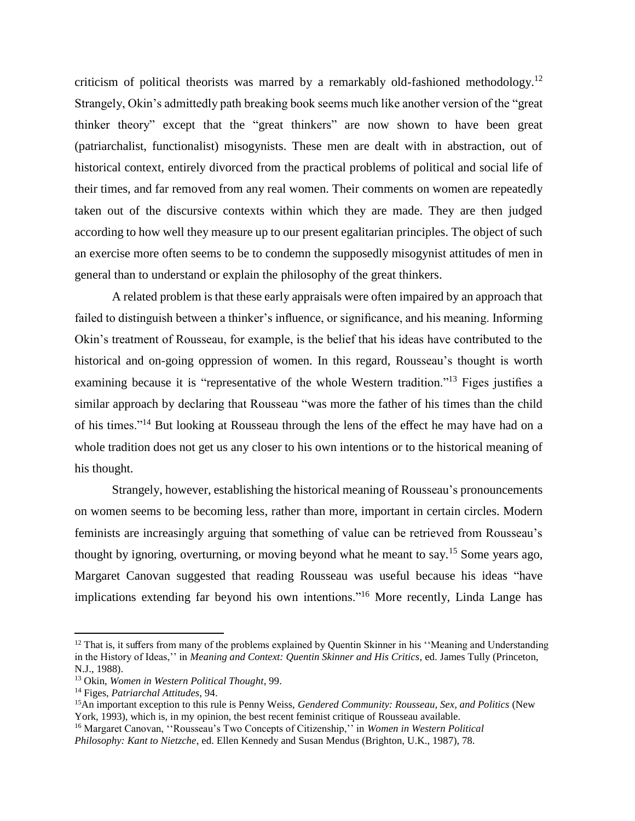criticism of political theorists was marred by a remarkably old-fashioned methodology.<sup>12</sup> Strangely, Okin's admittedly path breaking book seems much like another version of the "great thinker theory" except that the "great thinkers" are now shown to have been great (patriarchalist, functionalist) misogynists. These men are dealt with in abstraction, out of historical context, entirely divorced from the practical problems of political and social life of their times, and far removed from any real women. Their comments on women are repeatedly taken out of the discursive contexts within which they are made. They are then judged according to how well they measure up to our present egalitarian principles. The object of such an exercise more often seems to be to condemn the supposedly misogynist attitudes of men in general than to understand or explain the philosophy of the great thinkers.

A related problem is that these early appraisals were often impaired by an approach that failed to distinguish between a thinker's influence, or significance, and his meaning. Informing Okin's treatment of Rousseau, for example, is the belief that his ideas have contributed to the historical and on-going oppression of women. In this regard, Rousseau's thought is worth examining because it is "representative of the whole Western tradition."<sup>13</sup> Figes justifies a similar approach by declaring that Rousseau "was more the father of his times than the child of his times."<sup>14</sup> But looking at Rousseau through the lens of the effect he may have had on a whole tradition does not get us any closer to his own intentions or to the historical meaning of his thought.

Strangely, however, establishing the historical meaning of Rousseau's pronouncements on women seems to be becoming less, rather than more, important in certain circles. Modern feminists are increasingly arguing that something of value can be retrieved from Rousseau's thought by ignoring, overturning, or moving beyond what he meant to say.<sup>15</sup> Some years ago, Margaret Canovan suggested that reading Rousseau was useful because his ideas "have implications extending far beyond his own intentions."<sup>16</sup> More recently, Linda Lange has

<sup>&</sup>lt;sup>12</sup> That is, it suffers from many of the problems explained by Quentin Skinner in his "Meaning and Understanding in the History of Ideas,'' in *Meaning and Context: Quentin Skinner and His Critics*, ed. James Tully (Princeton, N.J., 1988).

<sup>13</sup> Okin, *Women in Western Political Thought*, 99.

<sup>14</sup> Figes, *Patriarchal Attitudes*, 94.

<sup>15</sup>An important exception to this rule is Penny Weiss, *Gendered Community: Rousseau, Sex, and Politics* (New York, 1993), which is, in my opinion, the best recent feminist critique of Rousseau available.

<sup>16</sup> Margaret Canovan, ''Rousseau's Two Concepts of Citizenship,'' in *Women in Western Political Philosophy: Kant to Nietzche*, ed. Ellen Kennedy and Susan Mendus (Brighton, U.K., 1987), 78.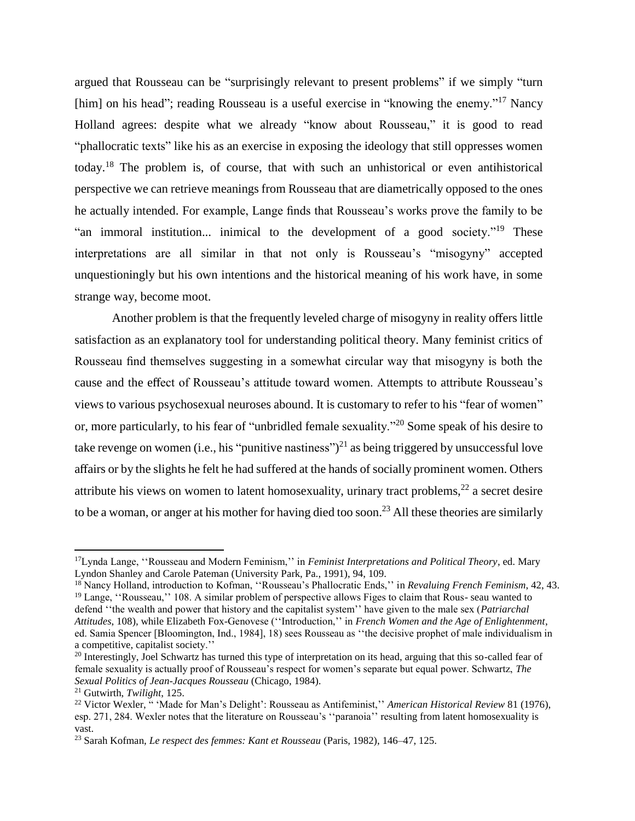argued that Rousseau can be "surprisingly relevant to present problems" if we simply "turn [him] on his head"; reading Rousseau is a useful exercise in "knowing the enemy."<sup>17</sup> Nancy Holland agrees: despite what we already "know about Rousseau," it is good to read "phallocratic texts" like his as an exercise in exposing the ideology that still oppresses women today.<sup>18</sup> The problem is, of course, that with such an unhistorical or even antihistorical perspective we can retrieve meanings from Rousseau that are diametrically opposed to the ones he actually intended. For example, Lange finds that Rousseau's works prove the family to be "an immoral institution... inimical to the development of a good society."<sup>19</sup> These interpretations are all similar in that not only is Rousseau's "misogyny" accepted unquestioningly but his own intentions and the historical meaning of his work have, in some strange way, become moot.

Another problem is that the frequently leveled charge of misogyny in reality offers little satisfaction as an explanatory tool for understanding political theory. Many feminist critics of Rousseau find themselves suggesting in a somewhat circular way that misogyny is both the cause and the effect of Rousseau's attitude toward women. Attempts to attribute Rousseau's views to various psychosexual neuroses abound. It is customary to refer to his "fear of women" or, more particularly, to his fear of "unbridled female sexuality."<sup>20</sup> Some speak of his desire to take revenge on women (i.e., his "punitive nastiness")<sup>21</sup> as being triggered by unsuccessful love affairs or by the slights he felt he had suffered at the hands of socially prominent women. Others attribute his views on women to latent homosexuality, urinary tract problems, $22$  a secret desire to be a woman, or anger at his mother for having died too soon.<sup>23</sup> All these theories are similarly

<sup>17</sup>Lynda Lange, ''Rousseau and Modern Feminism,'' in *Feminist Interpretations and Political Theory*, ed. Mary Lyndon Shanley and Carole Pateman (University Park, Pa., 1991), 94, 109.

<sup>18</sup> Nancy Holland, introduction to Kofman, ''Rousseau's Phallocratic Ends,'' in *Revaluing French Feminism*, 42, 43. <sup>19</sup> Lange, "Rousseau," 108. A similar problem of perspective allows Figes to claim that Rous- seau wanted to defend ''the wealth and power that history and the capitalist system'' have given to the male sex (*Patriarchal Attitudes*, 108), while Elizabeth Fox-Genovese (''Introduction,'' in *French Women and the Age of Enlightenment*, ed. Samia Spencer [Bloomington, Ind., 1984], 18) sees Rousseau as ''the decisive prophet of male individualism in a competitive, capitalist society.''

<sup>&</sup>lt;sup>20</sup> Interestingly, Joel Schwartz has turned this type of interpretation on its head, arguing that this so-called fear of female sexuality is actually proof of Rousseau's respect for women's separate but equal power. Schwartz, *The Sexual Politics of Jean-Jacques Rousseau* (Chicago, 1984).

<sup>21</sup> Gutwirth, *Twilight*, 125.

<sup>22</sup> Victor Wexler, " 'Made for Man's Delight': Rousseau as Antifeminist,'' *American Historical Review* 81 (1976), esp. 271, 284. Wexler notes that the literature on Rousseau's ''paranoia'' resulting from latent homosexuality is vast.

<sup>23</sup> Sarah Kofman, *Le respect des femmes: Kant et Rousseau* (Paris, 1982), 146–47, 125.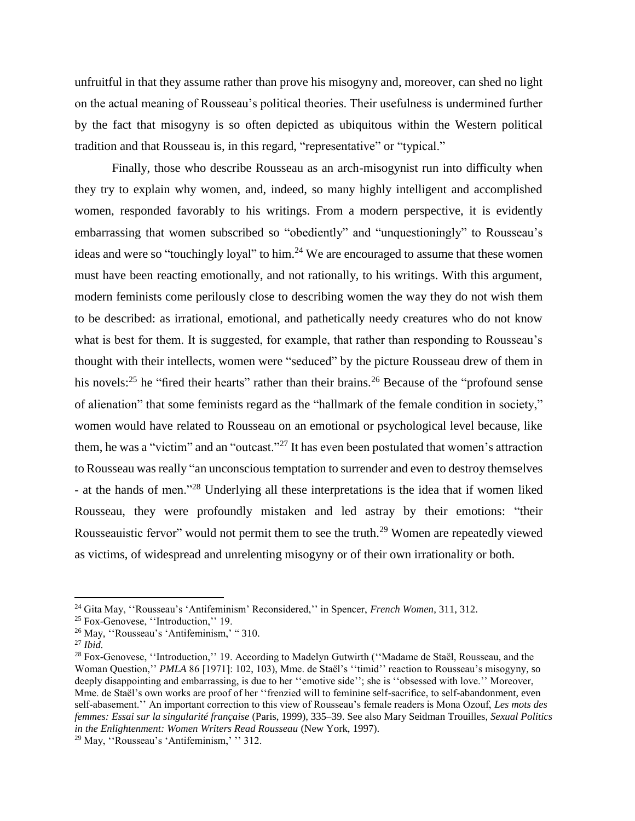unfruitful in that they assume rather than prove his misogyny and, moreover, can shed no light on the actual meaning of Rousseau's political theories. Their usefulness is undermined further by the fact that misogyny is so often depicted as ubiquitous within the Western political tradition and that Rousseau is, in this regard, "representative" or "typical."

Finally, those who describe Rousseau as an arch-misogynist run into difficulty when they try to explain why women, and, indeed, so many highly intelligent and accomplished women, responded favorably to his writings. From a modern perspective, it is evidently embarrassing that women subscribed so "obediently" and "unquestioningly" to Rousseau's ideas and were so "touchingly loyal" to him.<sup>24</sup> We are encouraged to assume that these women must have been reacting emotionally, and not rationally, to his writings. With this argument, modern feminists come perilously close to describing women the way they do not wish them to be described: as irrational, emotional, and pathetically needy creatures who do not know what is best for them. It is suggested, for example, that rather than responding to Rousseau's thought with their intellects, women were "seduced" by the picture Rousseau drew of them in his novels:<sup>25</sup> he "fired their hearts" rather than their brains.<sup>26</sup> Because of the "profound sense of alienation" that some feminists regard as the "hallmark of the female condition in society," women would have related to Rousseau on an emotional or psychological level because, like them, he was a "victim" and an "outcast."<sup>27</sup> It has even been postulated that women's attraction to Rousseau was really "an unconscious temptation to surrender and even to destroy themselves - at the hands of men."<sup>28</sup> Underlying all these interpretations is the idea that if women liked Rousseau, they were profoundly mistaken and led astray by their emotions: "their Rousseauistic fervor" would not permit them to see the truth.<sup>29</sup> Women are repeatedly viewed as victims, of widespread and unrelenting misogyny or of their own irrationality or both.

 $\overline{a}$ 

<sup>24</sup> Gita May, ''Rousseau's 'Antifeminism' Reconsidered,'' in Spencer, *French Women*, 311, 312.

<sup>25</sup> Fox-Genovese, ''Introduction,'' 19.

<sup>26</sup> May, ''Rousseau's 'Antifeminism,' " 310.

<sup>27</sup> *Ibid.*

<sup>&</sup>lt;sup>28</sup> Fox-Genovese, "Introduction," 19. According to Madelyn Gutwirth ("Madame de Staël, Rousseau, and the Woman Question," *PMLA 86* [1971]: 102, 103), Mme. de Staël's "timid" reaction to Rousseau's misogyny, so deeply disappointing and embarrassing, is due to her ''emotive side''; she is ''obsessed with love.'' Moreover, Mme. de Staël's own works are proof of her ''frenzied will to feminine self-sacrifice, to self-abandonment, even self-abasement.'' An important correction to this view of Rousseau's female readers is Mona Ozouf, *Les mots des femmes: Essai sur la singularité française* (Paris, 1999), 335–39. See also Mary Seidman Trouilles, *Sexual Politics in the Enlightenment: Women Writers Read Rousseau* (New York, 1997).

<sup>29</sup> May, ''Rousseau's 'Antifeminism,' '' 312.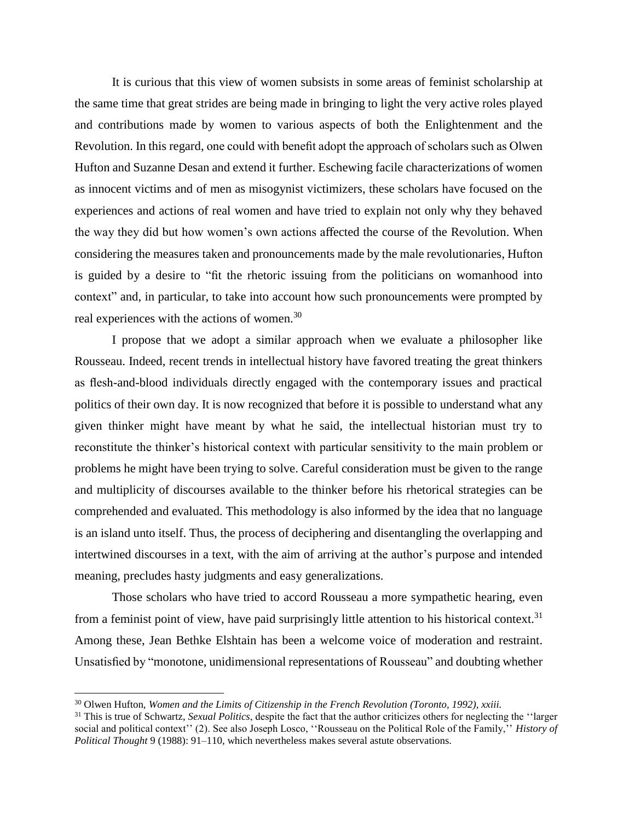It is curious that this view of women subsists in some areas of feminist scholarship at the same time that great strides are being made in bringing to light the very active roles played and contributions made by women to various aspects of both the Enlightenment and the Revolution. In this regard, one could with benefit adopt the approach of scholars such as Olwen Hufton and Suzanne Desan and extend it further. Eschewing facile characterizations of women as innocent victims and of men as misogynist victimizers, these scholars have focused on the experiences and actions of real women and have tried to explain not only why they behaved the way they did but how women's own actions affected the course of the Revolution. When considering the measures taken and pronouncements made by the male revolutionaries, Hufton is guided by a desire to "fit the rhetoric issuing from the politicians on womanhood into context" and, in particular, to take into account how such pronouncements were prompted by real experiences with the actions of women.<sup>30</sup>

I propose that we adopt a similar approach when we evaluate a philosopher like Rousseau. Indeed, recent trends in intellectual history have favored treating the great thinkers as flesh-and-blood individuals directly engaged with the contemporary issues and practical politics of their own day. It is now recognized that before it is possible to understand what any given thinker might have meant by what he said, the intellectual historian must try to reconstitute the thinker's historical context with particular sensitivity to the main problem or problems he might have been trying to solve. Careful consideration must be given to the range and multiplicity of discourses available to the thinker before his rhetorical strategies can be comprehended and evaluated. This methodology is also informed by the idea that no language is an island unto itself. Thus, the process of deciphering and disentangling the overlapping and intertwined discourses in a text, with the aim of arriving at the author's purpose and intended meaning, precludes hasty judgments and easy generalizations.

Those scholars who have tried to accord Rousseau a more sympathetic hearing, even from a feminist point of view, have paid surprisingly little attention to his historical context.<sup>31</sup> Among these, Jean Bethke Elshtain has been a welcome voice of moderation and restraint. Unsatisfied by "monotone, unidimensional representations of Rousseau" and doubting whether

<sup>30</sup> Olwen Hufton, *Women and the Limits of Citizenship in the French Revolution (Toronto, 1992), xxiii.*

<sup>31</sup> This is true of Schwartz, *Sexual Politics*, despite the fact that the author criticizes others for neglecting the ''larger social and political context'' (2). See also Joseph Losco, ''Rousseau on the Political Role of the Family,'' *History of Political Thought* 9 (1988): 91–110, which nevertheless makes several astute observations.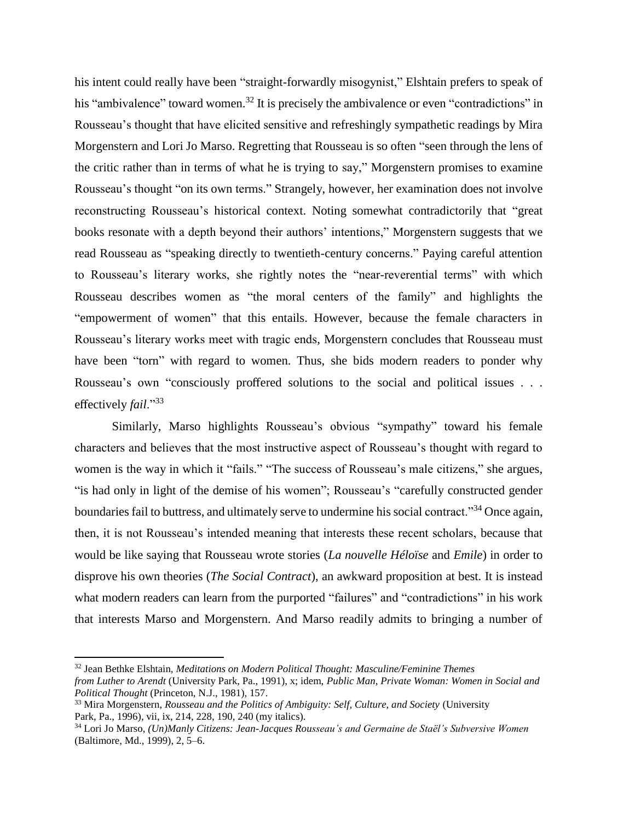his intent could really have been "straight-forwardly misogynist," Elshtain prefers to speak of his "ambivalence" toward women.<sup>32</sup> It is precisely the ambivalence or even "contradictions" in Rousseau's thought that have elicited sensitive and refreshingly sympathetic readings by Mira Morgenstern and Lori Jo Marso. Regretting that Rousseau is so often "seen through the lens of the critic rather than in terms of what he is trying to say," Morgenstern promises to examine Rousseau's thought "on its own terms." Strangely, however, her examination does not involve reconstructing Rousseau's historical context. Noting somewhat contradictorily that "great books resonate with a depth beyond their authors' intentions," Morgenstern suggests that we read Rousseau as "speaking directly to twentieth-century concerns." Paying careful attention to Rousseau's literary works, she rightly notes the "near-reverential terms" with which Rousseau describes women as "the moral centers of the family" and highlights the "empowerment of women" that this entails. However, because the female characters in Rousseau's literary works meet with tragic ends, Morgenstern concludes that Rousseau must have been "torn" with regard to women. Thus, she bids modern readers to ponder why Rousseau's own "consciously proffered solutions to the social and political issues . . . effectively *fail*."<sup>33</sup>

Similarly, Marso highlights Rousseau's obvious "sympathy" toward his female characters and believes that the most instructive aspect of Rousseau's thought with regard to women is the way in which it "fails." "The success of Rousseau's male citizens," she argues, "is had only in light of the demise of his women"; Rousseau's "carefully constructed gender boundaries fail to buttress, and ultimately serve to undermine his social contract."<sup>34</sup> Once again, then, it is not Rousseau's intended meaning that interests these recent scholars, because that would be like saying that Rousseau wrote stories (*La nouvelle Héloïse* and *Emile*) in order to disprove his own theories (*The Social Contract*), an awkward proposition at best. It is instead what modern readers can learn from the purported "failures" and "contradictions" in his work that interests Marso and Morgenstern. And Marso readily admits to bringing a number of

<sup>32</sup> Jean Bethke Elshtain, *Meditations on Modern Political Thought: Masculine/Feminine Themes from Luther to Arendt* (University Park, Pa., 1991), x; idem, *Public Man, Private Woman: Women in Social and Political Thought* (Princeton, N.J., 1981), 157.

<sup>&</sup>lt;sup>33</sup> Mira Morgenstern, *Rousseau and the Politics of Ambiguity: Self, Culture, and Society (University* Park, Pa., 1996), vii, ix, 214, 228, 190, 240 (my italics).

<sup>34</sup> Lori Jo Marso, *(Un)Manly Citizens: Jean-Jacques Rousseau's and Germaine de Staël's Subversive Women*  (Baltimore, Md., 1999), 2, 5–6.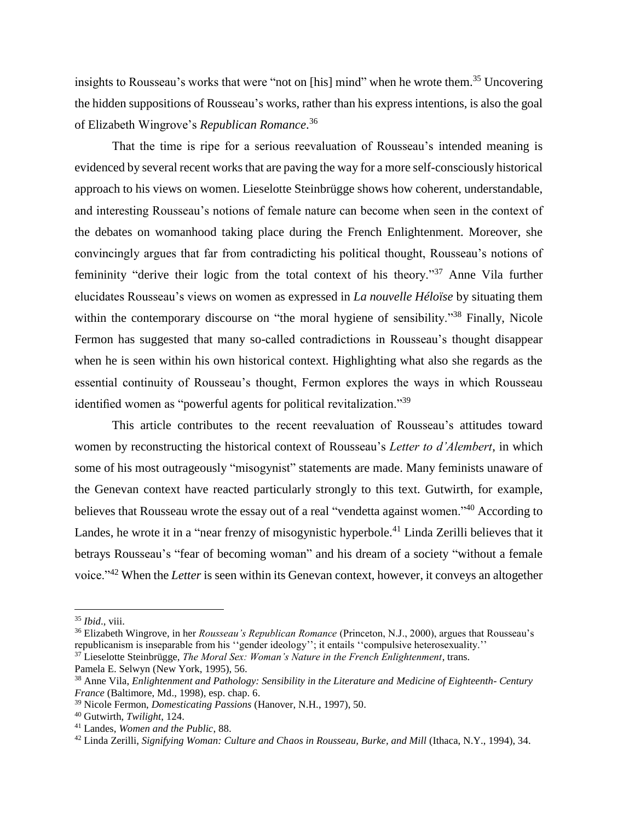insights to Rousseau's works that were "not on [his] mind" when he wrote them.<sup>35</sup> Uncovering the hidden suppositions of Rousseau's works, rather than his express intentions, is also the goal of Elizabeth Wingrove's *Republican Romance*. 36

That the time is ripe for a serious reevaluation of Rousseau's intended meaning is evidenced by several recent works that are paving the way for a more self-consciously historical approach to his views on women. Lieselotte Steinbrügge shows how coherent, understandable, and interesting Rousseau's notions of female nature can become when seen in the context of the debates on womanhood taking place during the French Enlightenment. Moreover, she convincingly argues that far from contradicting his political thought, Rousseau's notions of femininity "derive their logic from the total context of his theory."<sup>37</sup> Anne Vila further elucidates Rousseau's views on women as expressed in *La nouvelle Héloïse* by situating them within the contemporary discourse on "the moral hygiene of sensibility."<sup>38</sup> Finally, Nicole Fermon has suggested that many so-called contradictions in Rousseau's thought disappear when he is seen within his own historical context. Highlighting what also she regards as the essential continuity of Rousseau's thought, Fermon explores the ways in which Rousseau identified women as "powerful agents for political revitalization."<sup>39</sup>

This article contributes to the recent reevaluation of Rousseau's attitudes toward women by reconstructing the historical context of Rousseau's *Letter to d'Alembert*, in which some of his most outrageously "misogynist" statements are made. Many feminists unaware of the Genevan context have reacted particularly strongly to this text. Gutwirth, for example, believes that Rousseau wrote the essay out of a real "vendetta against women."<sup>40</sup> According to Landes, he wrote it in a "near frenzy of misogynistic hyperbole.<sup>41</sup> Linda Zerilli believes that it betrays Rousseau's "fear of becoming woman" and his dream of a society "without a female voice."<sup>42</sup> When the *Letter* is seen within its Genevan context, however, it conveys an altogether

<sup>35</sup> *Ibid*., viii.

<sup>36</sup> Elizabeth Wingrove, in her *Rousseau's Republican Romance* (Princeton, N.J., 2000), argues that Rousseau's republicanism is inseparable from his ''gender ideology''; it entails ''compulsive heterosexuality.''

<sup>37</sup> Lieselotte Steinbrügge, *The Moral Sex: Woman's Nature in the French Enlightenment*, trans. Pamela E. Selwyn (New York, 1995), 56.

<sup>38</sup> Anne Vila, *Enlightenment and Pathology: Sensibility in the Literature and Medicine of Eighteenth- Century France* (Baltimore, Md., 1998), esp. chap. 6.

<sup>39</sup> Nicole Fermon, *Domesticating Passions* (Hanover, N.H., 1997), 50.

<sup>40</sup> Gutwirth, *Twilight*, 124.

<sup>41</sup> Landes, *Women and the Public*, 88.

<sup>&</sup>lt;sup>42</sup> Linda Zerilli, *Signifying Woman: Culture and Chaos in Rousseau, Burke, and Mill* (Ithaca, N.Y., 1994), 34.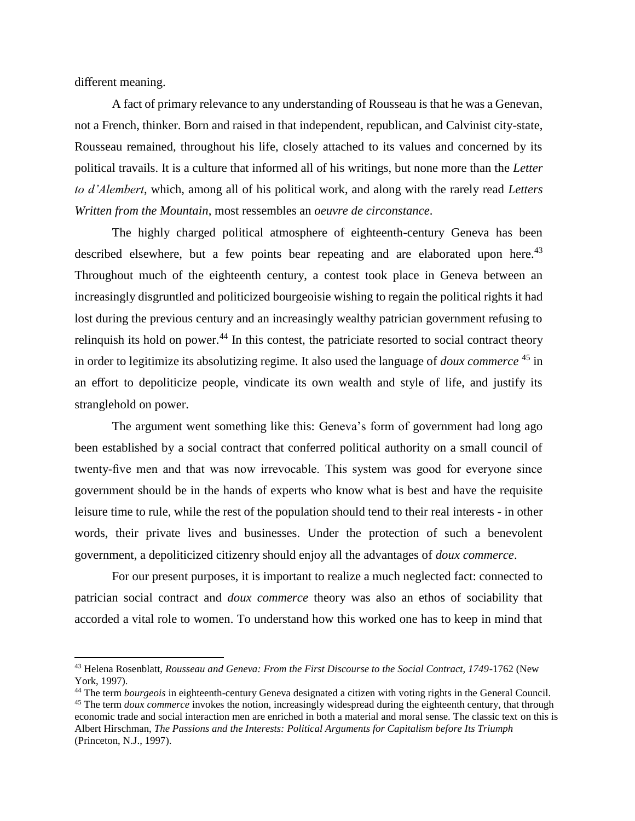different meaning.

 $\overline{\phantom{a}}$ 

A fact of primary relevance to any understanding of Rousseau is that he was a Genevan, not a French, thinker. Born and raised in that independent, republican, and Calvinist city-state, Rousseau remained, throughout his life, closely attached to its values and concerned by its political travails. It is a culture that informed all of his writings, but none more than the *Letter to d'Alembert*, which, among all of his political work, and along with the rarely read *Letters Written from the Mountain*, most ressembles an *oeuvre de circonstance*.

The highly charged political atmosphere of eighteenth-century Geneva has been described elsewhere, but a few points bear repeating and are elaborated upon here.<sup>43</sup> Throughout much of the eighteenth century, a contest took place in Geneva between an increasingly disgruntled and politicized bourgeoisie wishing to regain the political rights it had lost during the previous century and an increasingly wealthy patrician government refusing to relinquish its hold on power.<sup>44</sup> In this contest, the patriciate resorted to social contract theory in order to legitimize its absolutizing regime. It also used the language of *doux commerce* <sup>45</sup> in an effort to depoliticize people, vindicate its own wealth and style of life, and justify its stranglehold on power.

The argument went something like this: Geneva's form of government had long ago been established by a social contract that conferred political authority on a small council of twenty-five men and that was now irrevocable. This system was good for everyone since government should be in the hands of experts who know what is best and have the requisite leisure time to rule, while the rest of the population should tend to their real interests - in other words, their private lives and businesses. Under the protection of such a benevolent government, a depoliticized citizenry should enjoy all the advantages of *doux commerce*.

For our present purposes, it is important to realize a much neglected fact: connected to patrician social contract and *doux commerce* theory was also an ethos of sociability that accorded a vital role to women. To understand how this worked one has to keep in mind that

<sup>43</sup> Helena Rosenblatt, *Rousseau and Geneva: From the First Discourse to the Social Contract, 1749-*1762 (New York, 1997).

<sup>44</sup> The term *bourgeois* in eighteenth-century Geneva designated a citizen with voting rights in the General Council. <sup>45</sup> The term *doux commerce* invokes the notion, increasingly widespread during the eighteenth century, that through economic trade and social interaction men are enriched in both a material and moral sense. The classic text on this is Albert Hirschman, *The Passions and the Interests: Political Arguments for Capitalism before Its Triumph*  (Princeton, N.J., 1997).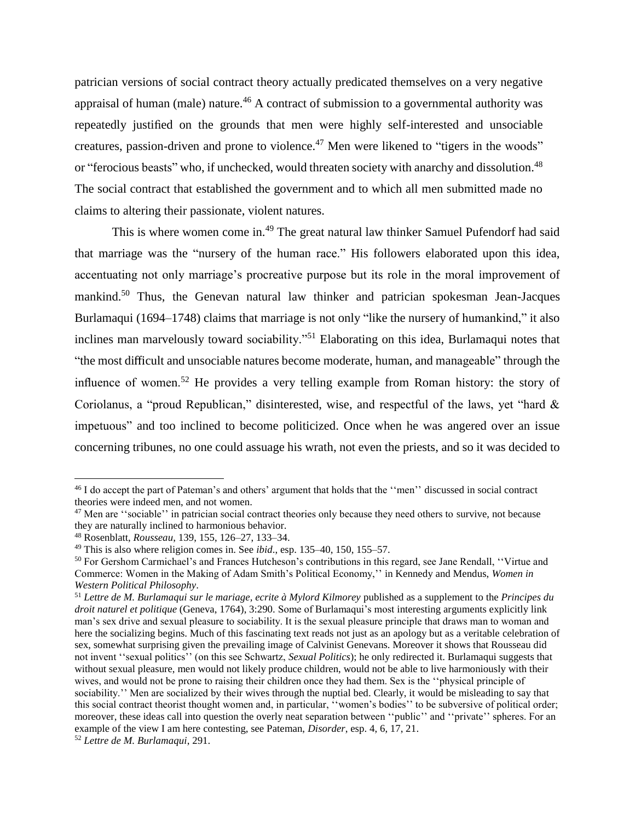patrician versions of social contract theory actually predicated themselves on a very negative appraisal of human (male) nature.<sup>46</sup> A contract of submission to a governmental authority was repeatedly justified on the grounds that men were highly self-interested and unsociable creatures, passion-driven and prone to violence.<sup>47</sup> Men were likened to "tigers in the woods" or "ferocious beasts" who, if unchecked, would threaten society with anarchy and dissolution.<sup>48</sup> The social contract that established the government and to which all men submitted made no claims to altering their passionate, violent natures.

This is where women come in.<sup>49</sup> The great natural law thinker Samuel Pufendorf had said that marriage was the "nursery of the human race." His followers elaborated upon this idea, accentuating not only marriage's procreative purpose but its role in the moral improvement of mankind.<sup>50</sup> Thus, the Genevan natural law thinker and patrician spokesman Jean-Jacques Burlamaqui (1694–1748) claims that marriage is not only "like the nursery of humankind," it also inclines man marvelously toward sociability."<sup>51</sup> Elaborating on this idea, Burlamaqui notes that "the most difficult and unsociable natures become moderate, human, and manageable" through the influence of women.<sup>52</sup> He provides a very telling example from Roman history: the story of Coriolanus, a "proud Republican," disinterested, wise, and respectful of the laws, yet "hard & impetuous" and too inclined to become politicized. Once when he was angered over an issue concerning tribunes, no one could assuage his wrath, not even the priests, and so it was decided to

<sup>46</sup> I do accept the part of Pateman's and others' argument that holds that the ''men'' discussed in social contract theories were indeed men, and not women.

<sup>&</sup>lt;sup>47</sup> Men are "sociable" in patrician social contract theories only because they need others to survive, not because they are naturally inclined to harmonious behavior.

<sup>48</sup> Rosenblatt, *Rousseau*, 139, 155, 126–27, 133–34.

<sup>49</sup> This is also where religion comes in. See *ibid*., esp. 135–40, 150, 155–57.

<sup>&</sup>lt;sup>50</sup> For Gershom Carmichael's and Frances Hutcheson's contributions in this regard, see Jane Rendall, "Virtue and Commerce: Women in the Making of Adam Smith's Political Economy,'' in Kennedy and Mendus, *Women in Western Political Philosophy*.

<sup>51</sup> *Lettre de M. Burlamaqui sur le mariage, ecrite à Mylord Kilmorey* published as a supplement to the *Principes du droit naturel et politique* (Geneva, 1764), 3:290. Some of Burlamaqui's most interesting arguments explicitly link man's sex drive and sexual pleasure to sociability. It is the sexual pleasure principle that draws man to woman and here the socializing begins. Much of this fascinating text reads not just as an apology but as a veritable celebration of sex, somewhat surprising given the prevailing image of Calvinist Genevans. Moreover it shows that Rousseau did not invent ''sexual politics'' (on this see Schwartz, *Sexual Politics*); he only redirected it. Burlamaqui suggests that without sexual pleasure, men would not likely produce children, would not be able to live harmoniously with their wives, and would not be prone to raising their children once they had them. Sex is the ''physical principle of sociability.'' Men are socialized by their wives through the nuptial bed. Clearly, it would be misleading to say that this social contract theorist thought women and, in particular, ''women's bodies'' to be subversive of political order; moreover, these ideas call into question the overly neat separation between ''public'' and ''private'' spheres. For an example of the view I am here contesting, see Pateman, *Disorder*, esp. 4, 6, 17, 21.

<sup>52</sup> *Lettre de M. Burlamaqui*, 291.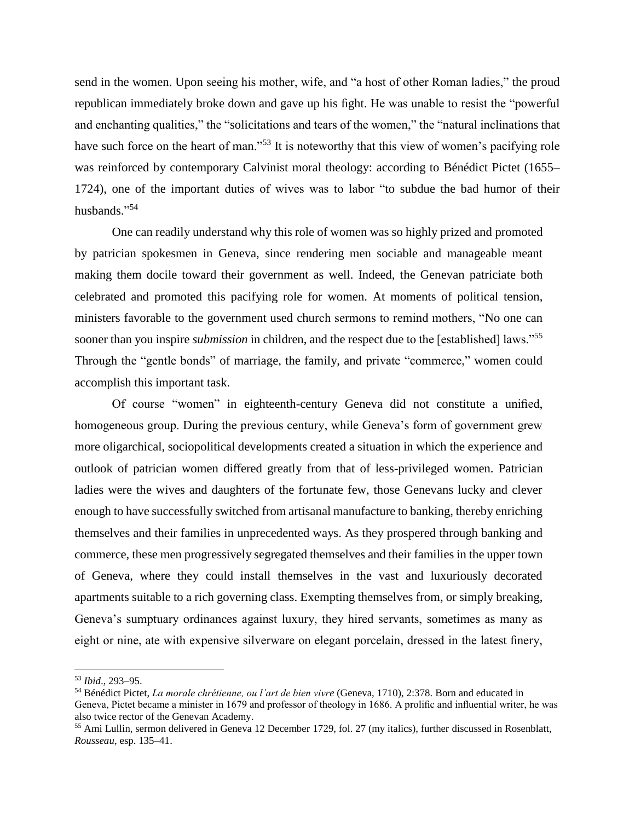send in the women. Upon seeing his mother, wife, and "a host of other Roman ladies," the proud republican immediately broke down and gave up his fight. He was unable to resist the "powerful and enchanting qualities," the "solicitations and tears of the women," the "natural inclinations that have such force on the heart of man."<sup>53</sup> It is noteworthy that this view of women's pacifying role was reinforced by contemporary Calvinist moral theology: according to Bénédict Pictet (1655– 1724), one of the important duties of wives was to labor "to subdue the bad humor of their husbands." 54

One can readily understand why this role of women was so highly prized and promoted by patrician spokesmen in Geneva, since rendering men sociable and manageable meant making them docile toward their government as well. Indeed, the Genevan patriciate both celebrated and promoted this pacifying role for women. At moments of political tension, ministers favorable to the government used church sermons to remind mothers, "No one can sooner than you inspire *submission* in children, and the respect due to the [established] laws."<sup>55</sup> Through the "gentle bonds" of marriage, the family, and private "commerce," women could accomplish this important task.

Of course "women" in eighteenth-century Geneva did not constitute a unified, homogeneous group. During the previous century, while Geneva's form of government grew more oligarchical, sociopolitical developments created a situation in which the experience and outlook of patrician women differed greatly from that of less-privileged women. Patrician ladies were the wives and daughters of the fortunate few, those Genevans lucky and clever enough to have successfully switched from artisanal manufacture to banking, thereby enriching themselves and their families in unprecedented ways. As they prospered through banking and commerce, these men progressively segregated themselves and their families in the upper town of Geneva, where they could install themselves in the vast and luxuriously decorated apartments suitable to a rich governing class. Exempting themselves from, or simply breaking, Geneva's sumptuary ordinances against luxury, they hired servants, sometimes as many as eight or nine, ate with expensive silverware on elegant porcelain, dressed in the latest finery,

<sup>53</sup> *Ibid*., 293–95.

<sup>54</sup> Bénédict Pictet, *La morale chrétienne, ou l'art de bien vivre* (Geneva, 1710), 2:378. Born and educated in Geneva, Pictet became a minister in 1679 and professor of theology in 1686. A prolific and influential writer, he was also twice rector of the Genevan Academy.

<sup>55</sup> Ami Lullin, sermon delivered in Geneva 12 December 1729, fol. 27 (my italics), further discussed in Rosenblatt, *Rousseau*, esp. 135–41.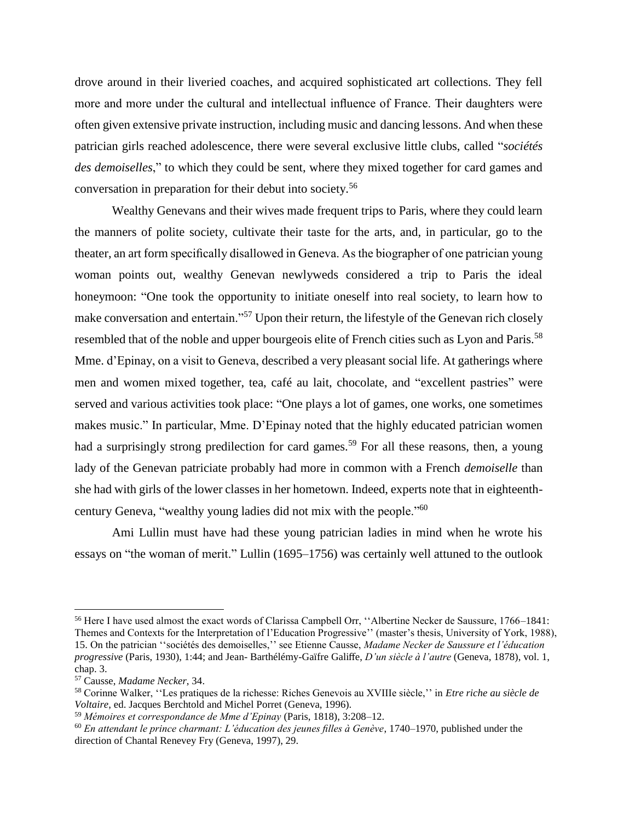drove around in their liveried coaches, and acquired sophisticated art collections. They fell more and more under the cultural and intellectual influence of France. Their daughters were often given extensive private instruction, including music and dancing lessons. And when these patrician girls reached adolescence, there were several exclusive little clubs, called "*sociétés des demoiselles*," to which they could be sent, where they mixed together for card games and conversation in preparation for their debut into society.<sup>56</sup>

Wealthy Genevans and their wives made frequent trips to Paris, where they could learn the manners of polite society, cultivate their taste for the arts, and, in particular, go to the theater, an art form specifically disallowed in Geneva. As the biographer of one patrician young woman points out, wealthy Genevan newlyweds considered a trip to Paris the ideal honeymoon: "One took the opportunity to initiate oneself into real society, to learn how to make conversation and entertain."<sup>57</sup> Upon their return, the lifestyle of the Genevan rich closely resembled that of the noble and upper bourgeois elite of French cities such as Lyon and Paris.<sup>58</sup> Mme. d'Epinay, on a visit to Geneva, described a very pleasant social life. At gatherings where men and women mixed together, tea, café au lait, chocolate, and "excellent pastries" were served and various activities took place: "One plays a lot of games, one works, one sometimes makes music." In particular, Mme. D'Epinay noted that the highly educated patrician women had a surprisingly strong predilection for card games.<sup>59</sup> For all these reasons, then, a young lady of the Genevan patriciate probably had more in common with a French *demoiselle* than she had with girls of the lower classes in her hometown. Indeed, experts note that in eighteenthcentury Geneva, "wealthy young ladies did not mix with the people."<sup>60</sup>

Ami Lullin must have had these young patrician ladies in mind when he wrote his essays on "the woman of merit." Lullin (1695–1756) was certainly well attuned to the outlook

<sup>56</sup> Here I have used almost the exact words of Clarissa Campbell Orr, ''Albertine Necker de Saussure, 1766–1841: Themes and Contexts for the Interpretation of l'Education Progressive'' (master's thesis, University of York, 1988), 15. On the patrician ''sociétés des demoiselles,'' see Etienne Causse, *Madame Necker de Saussure et l'éducation progressive* (Paris, 1930), 1:44; and Jean- Barthélémy-Gaïfre Galiffe, *D'un siècle à l'autre* (Geneva, 1878), vol. 1, chap. 3.

<sup>57</sup> Causse, *Madame Necker*, 34.

<sup>58</sup> Corinne Walker, ''Les pratiques de la richesse: Riches Genevois au XVIIIe siècle,'' in *Etre riche au siècle de Voltaire*, ed. Jacques Berchtold and Michel Porret (Geneva, 1996).

<sup>59</sup> *Mémoires et correspondance de Mme d'Epinay* (Paris, 1818), 3:208–12.

<sup>60</sup> *En attendant le prince charmant: L'éducation des jeunes filles à Genève*, 1740–1970, published under the direction of Chantal Renevey Fry (Geneva, 1997), 29.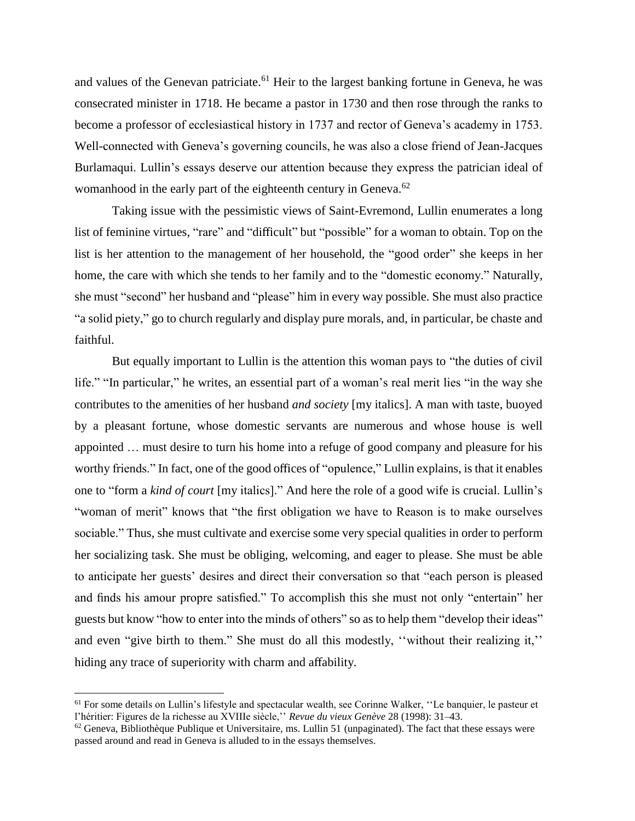and values of the Genevan patriciate.<sup>61</sup> Heir to the largest banking fortune in Geneva, he was consecrated minister in 1718. He became a pastor in 1730 and then rose through the ranks to become a professor of ecclesiastical history in 1737 and rector of Geneva's academy in 1753. Well-connected with Geneva's governing councils, he was also a close friend of Jean-Jacques Burlamaqui. Lullin's essays deserve our attention because they express the patrician ideal of womanhood in the early part of the eighteenth century in Geneva.<sup>62</sup>

Taking issue with the pessimistic views of Saint-Evremond, Lullin enumerates a long list of feminine virtues, "rare" and "difficult" but "possible" for a woman to obtain. Top on the list is her attention to the management of her household, the "good order" she keeps in her home, the care with which she tends to her family and to the "domestic economy." Naturally, she must "second" her husband and "please" him in every way possible. She must also practice "a solid piety," go to church regularly and display pure morals, and, in particular, be chaste and faithful.

But equally important to Lullin is the attention this woman pays to "the duties of civil life." "In particular," he writes, an essential part of a woman's real merit lies "in the way she contributes to the amenities of her husband *and society* [my italics]. A man with taste, buoyed by a pleasant fortune, whose domestic servants are numerous and whose house is well appointed … must desire to turn his home into a refuge of good company and pleasure for his worthy friends." In fact, one of the good offices of "opulence," Lullin explains, is that it enables one to "form a *kind of court* [my italics]." And here the role of a good wife is crucial. Lullin's "woman of merit" knows that "the first obligation we have to Reason is to make ourselves sociable." Thus, she must cultivate and exercise some very special qualities in order to perform her socializing task. She must be obliging, welcoming, and eager to please. She must be able to anticipate her guests' desires and direct their conversation so that "each person is pleased and finds his amour propre satisfied." To accomplish this she must not only "entertain" her guests but know "how to enter into the minds of others" so as to help them "develop their ideas" and even "give birth to them." She must do all this modestly, ''without their realizing it,'' hiding any trace of superiority with charm and affability.

<sup>&</sup>lt;sup>61</sup> For some details on Lullin's lifestyle and spectacular wealth, see Corinne Walker, "Le banquier, le pasteur et l'héritier: Figures de la richesse au XVIIIe siècle,'' *Revue du vieux Genève* 28 (1998): 31–43.

 $62$  Geneva, Bibliothèque Publique et Universitaire, ms. Lullin 51 (unpaginated). The fact that these essays were passed around and read in Geneva is alluded to in the essays themselves.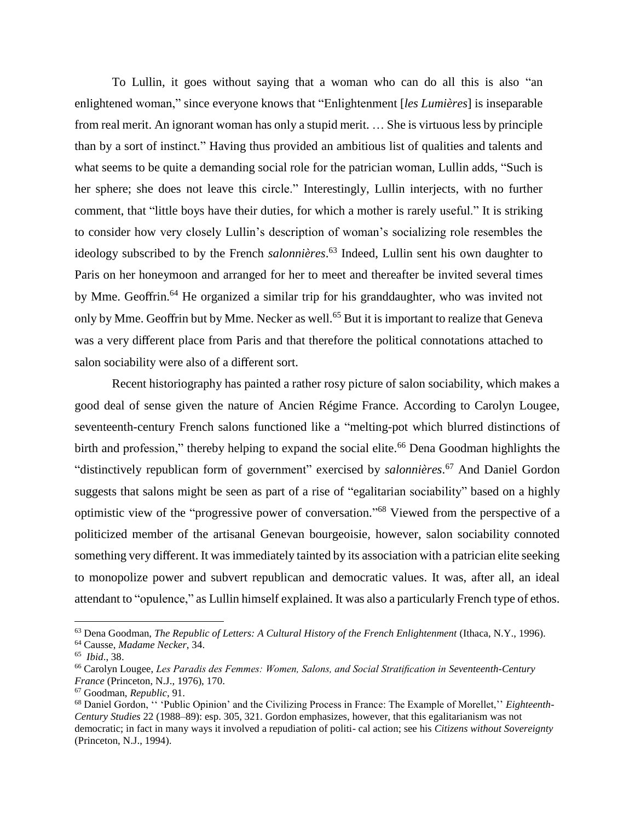To Lullin, it goes without saying that a woman who can do all this is also "an enlightened woman," since everyone knows that "Enlightenment [*les Lumières*] is inseparable from real merit. An ignorant woman has only a stupid merit. … She is virtuous less by principle than by a sort of instinct." Having thus provided an ambitious list of qualities and talents and what seems to be quite a demanding social role for the patrician woman, Lullin adds, "Such is her sphere; she does not leave this circle." Interestingly, Lullin interjects, with no further comment, that "little boys have their duties, for which a mother is rarely useful." It is striking to consider how very closely Lullin's description of woman's socializing role resembles the ideology subscribed to by the French *salonnières*. <sup>63</sup> Indeed, Lullin sent his own daughter to Paris on her honeymoon and arranged for her to meet and thereafter be invited several times by Mme. Geoffrin.<sup>64</sup> He organized a similar trip for his granddaughter, who was invited not only by Mme. Geoffrin but by Mme. Necker as well.<sup>65</sup> But it is important to realize that Geneva was a very different place from Paris and that therefore the political connotations attached to salon sociability were also of a different sort.

Recent historiography has painted a rather rosy picture of salon sociability, which makes a good deal of sense given the nature of Ancien Régime France. According to Carolyn Lougee, seventeenth-century French salons functioned like a "melting-pot which blurred distinctions of birth and profession," thereby helping to expand the social elite.<sup>66</sup> Dena Goodman highlights the "distinctively republican form of government" exercised by *salonnières*. <sup>67</sup> And Daniel Gordon suggests that salons might be seen as part of a rise of "egalitarian sociability" based on a highly optimistic view of the "progressive power of conversation." <sup>68</sup> Viewed from the perspective of a politicized member of the artisanal Genevan bourgeoisie, however, salon sociability connoted something very different. It was immediately tainted by its association with a patrician elite seeking to monopolize power and subvert republican and democratic values. It was, after all, an ideal attendant to "opulence," as Lullin himself explained. It was also a particularly French type of ethos.

<sup>&</sup>lt;sup>63</sup> Dena Goodman, *The Republic of Letters: A Cultural History of the French Enlightenment* (Ithaca, N.Y., 1996).

<sup>64</sup> Causse, *Madame Necker*, 34.

<sup>65</sup> *Ibid*., 38.

<sup>66</sup> Carolyn Lougee, *Les Paradis des Femmes: Women, Salons, and Social Stratification in Seventeenth-Century France* (Princeton, N.J., 1976), 170.

<sup>67</sup> Goodman, *Republic*, 91.

<sup>68</sup> Daniel Gordon, '' 'Public Opinion' and the Civilizing Process in France: The Example of Morellet,'' *Eighteenth-Century Studies* 22 (1988–89): esp. 305, 321. Gordon emphasizes, however, that this egalitarianism was not democratic; in fact in many ways it involved a repudiation of politi- cal action; see his *Citizens without Sovereignty*  (Princeton, N.J., 1994).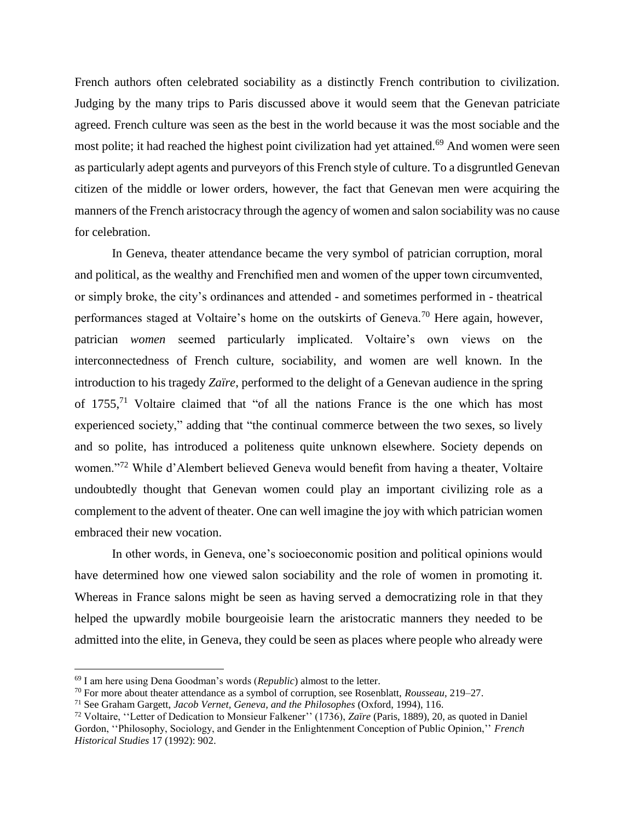French authors often celebrated sociability as a distinctly French contribution to civilization. Judging by the many trips to Paris discussed above it would seem that the Genevan patriciate agreed. French culture was seen as the best in the world because it was the most sociable and the most polite; it had reached the highest point civilization had yet attained.<sup>69</sup> And women were seen as particularly adept agents and purveyors of this French style of culture. To a disgruntled Genevan citizen of the middle or lower orders, however, the fact that Genevan men were acquiring the manners of the French aristocracy through the agency of women and salon sociability was no cause for celebration.

In Geneva, theater attendance became the very symbol of patrician corruption, moral and political, as the wealthy and Frenchified men and women of the upper town circumvented, or simply broke, the city's ordinances and attended - and sometimes performed in - theatrical performances staged at Voltaire's home on the outskirts of Geneva.<sup>70</sup> Here again, however, patrician *women* seemed particularly implicated. Voltaire's own views on the interconnectedness of French culture, sociability, and women are well known. In the introduction to his tragedy *Zaïre*, performed to the delight of a Genevan audience in the spring of 1755,<sup>71</sup> Voltaire claimed that "of all the nations France is the one which has most experienced society," adding that "the continual commerce between the two sexes, so lively and so polite, has introduced a politeness quite unknown elsewhere. Society depends on women."<sup>72</sup> While d'Alembert believed Geneva would benefit from having a theater, Voltaire undoubtedly thought that Genevan women could play an important civilizing role as a complement to the advent of theater. One can well imagine the joy with which patrician women embraced their new vocation.

In other words, in Geneva, one's socioeconomic position and political opinions would have determined how one viewed salon sociability and the role of women in promoting it. Whereas in France salons might be seen as having served a democratizing role in that they helped the upwardly mobile bourgeoisie learn the aristocratic manners they needed to be admitted into the elite, in Geneva, they could be seen as places where people who already were

<sup>69</sup> I am here using Dena Goodman's words (*Republic*) almost to the letter.

<sup>70</sup> For more about theater attendance as a symbol of corruption, see Rosenblatt, *Rousseau*, 219–27.

<sup>71</sup> See Graham Gargett, *Jacob Vernet, Geneva, and the Philosophes* (Oxford, 1994), 116.

<sup>72</sup> Voltaire, ''Letter of Dedication to Monsieur Falkener'' (1736), *Zaïre* (Paris, 1889), 20, as quoted in Daniel Gordon, ''Philosophy, Sociology, and Gender in the Enlightenment Conception of Public Opinion,'' *French Historical Studies* 17 (1992): 902.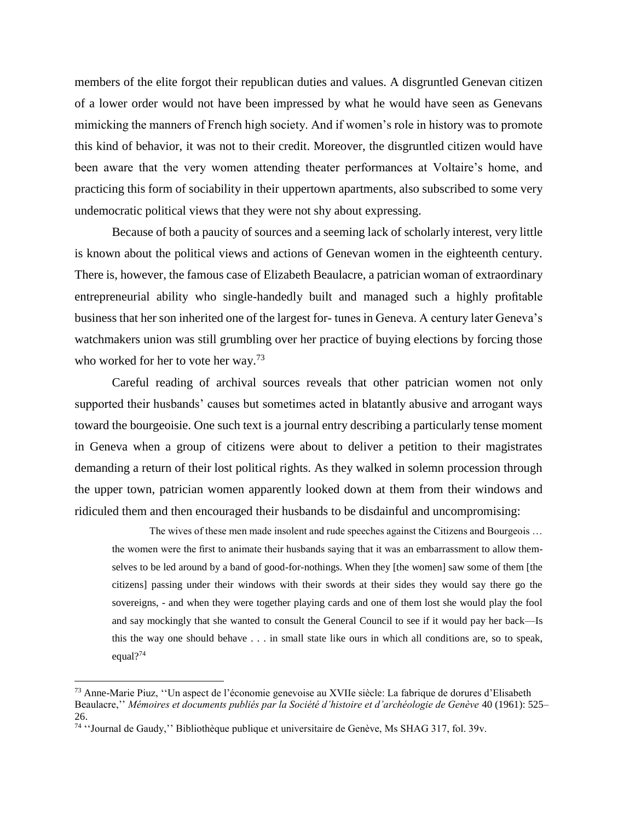members of the elite forgot their republican duties and values. A disgruntled Genevan citizen of a lower order would not have been impressed by what he would have seen as Genevans mimicking the manners of French high society. And if women's role in history was to promote this kind of behavior, it was not to their credit. Moreover, the disgruntled citizen would have been aware that the very women attending theater performances at Voltaire's home, and practicing this form of sociability in their uppertown apartments, also subscribed to some very undemocratic political views that they were not shy about expressing.

Because of both a paucity of sources and a seeming lack of scholarly interest, very little is known about the political views and actions of Genevan women in the eighteenth century. There is, however, the famous case of Elizabeth Beaulacre, a patrician woman of extraordinary entrepreneurial ability who single-handedly built and managed such a highly profitable business that her son inherited one of the largest for- tunes in Geneva. A century later Geneva's watchmakers union was still grumbling over her practice of buying elections by forcing those who worked for her to vote her way.<sup>73</sup>

Careful reading of archival sources reveals that other patrician women not only supported their husbands' causes but sometimes acted in blatantly abusive and arrogant ways toward the bourgeoisie. One such text is a journal entry describing a particularly tense moment in Geneva when a group of citizens were about to deliver a petition to their magistrates demanding a return of their lost political rights. As they walked in solemn procession through the upper town, patrician women apparently looked down at them from their windows and ridiculed them and then encouraged their husbands to be disdainful and uncompromising:

The wives of these men made insolent and rude speeches against the Citizens and Bourgeois … the women were the first to animate their husbands saying that it was an embarrassment to allow themselves to be led around by a band of good-for-nothings. When they [the women] saw some of them [the citizens] passing under their windows with their swords at their sides they would say there go the sovereigns, - and when they were together playing cards and one of them lost she would play the fool and say mockingly that she wanted to consult the General Council to see if it would pay her back—Is this the way one should behave . . . in small state like ours in which all conditions are, so to speak, equal?<sup>74</sup>

 $\overline{a}$ 

<sup>73</sup> Anne-Marie Piuz, ''Un aspect de l'économie genevoise au XVIIe siècle: La fabrique de dorures d'Elisabeth Beaulacre," *Mémoires et documents publiés par la Société d'histoire et d'archéologie de Genève* 40 (1961): 525– 26.

<sup>74</sup> ''Journal de Gaudy,'' Bibliothèque publique et universitaire de Genève, Ms SHAG 317, fol. 39v.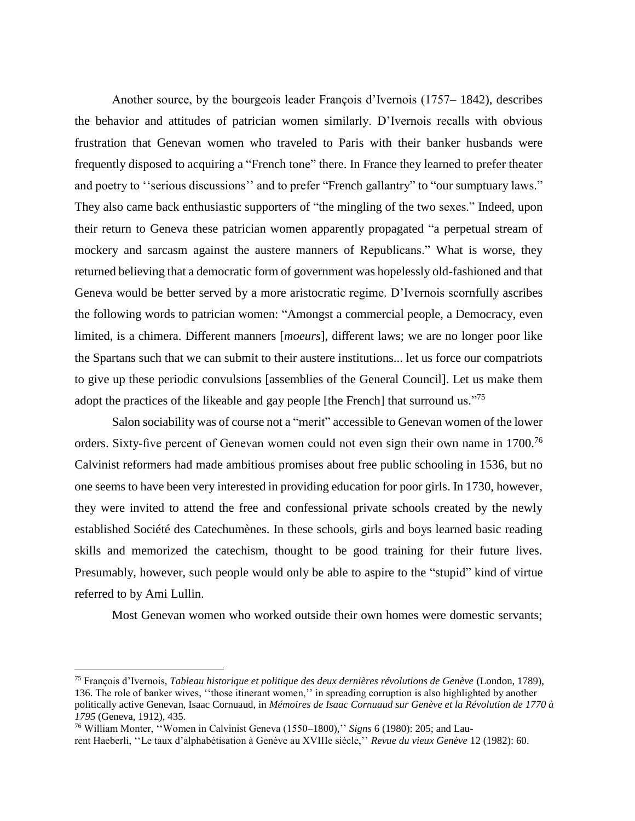Another source, by the bourgeois leader François d'Ivernois (1757– 1842), describes the behavior and attitudes of patrician women similarly. D'Ivernois recalls with obvious frustration that Genevan women who traveled to Paris with their banker husbands were frequently disposed to acquiring a "French tone" there. In France they learned to prefer theater and poetry to ''serious discussions'' and to prefer "French gallantry" to "our sumptuary laws." They also came back enthusiastic supporters of "the mingling of the two sexes." Indeed, upon their return to Geneva these patrician women apparently propagated "a perpetual stream of mockery and sarcasm against the austere manners of Republicans." What is worse, they returned believing that a democratic form of government was hopelessly old-fashioned and that Geneva would be better served by a more aristocratic regime. D'Ivernois scornfully ascribes the following words to patrician women: "Amongst a commercial people, a Democracy, even limited, is a chimera. Different manners [*moeurs*], different laws; we are no longer poor like the Spartans such that we can submit to their austere institutions... let us force our compatriots to give up these periodic convulsions [assemblies of the General Council]. Let us make them adopt the practices of the likeable and gay people [the French] that surround us."<sup>75</sup>

Salon sociability was of course not a "merit" accessible to Genevan women of the lower orders. Sixty-five percent of Genevan women could not even sign their own name in 1700.<sup>76</sup> Calvinist reformers had made ambitious promises about free public schooling in 1536, but no one seems to have been very interested in providing education for poor girls. In 1730, however, they were invited to attend the free and confessional private schools created by the newly established Société des Catechumènes. In these schools, girls and boys learned basic reading skills and memorized the catechism, thought to be good training for their future lives. Presumably, however, such people would only be able to aspire to the "stupid" kind of virtue referred to by Ami Lullin.

Most Genevan women who worked outside their own homes were domestic servants;

<sup>75</sup> François d'Ivernois, *Tableau historique et politique des deux dernières révolutions de Genève* (London, 1789), 136. The role of banker wives, ''those itinerant women,'' in spreading corruption is also highlighted by another politically active Genevan, Isaac Cornuaud, in *Mémoires de Isaac Cornuaud sur Genève et la Révolution de 1770 à 1795* (Geneva, 1912), 435.

<sup>76</sup> William Monter, ''Women in Calvinist Geneva (1550–1800),'' *Signs* 6 (1980): 205; and Lau-

rent Haeberli, ''Le taux d'alphabétisation à Genève au XVIIIe siècle,'' *Revue du vieux Genève* 12 (1982): 60.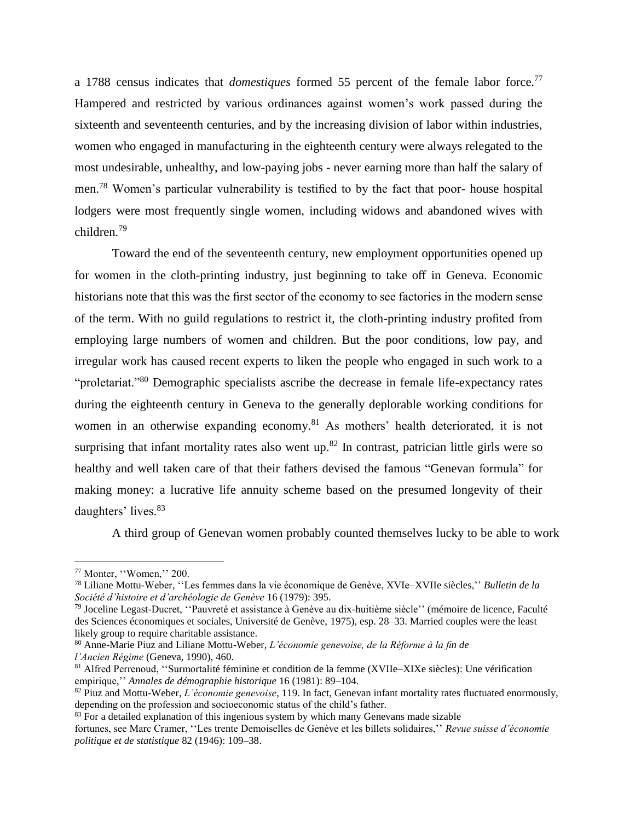a 1788 census indicates that *domestiques* formed 55 percent of the female labor force.<sup>77</sup> Hampered and restricted by various ordinances against women's work passed during the sixteenth and seventeenth centuries, and by the increasing division of labor within industries, women who engaged in manufacturing in the eighteenth century were always relegated to the most undesirable, unhealthy, and low-paying jobs - never earning more than half the salary of men.<sup>78</sup> Women's particular vulnerability is testified to by the fact that poor- house hospital lodgers were most frequently single women, including widows and abandoned wives with children.<sup>79</sup>

Toward the end of the seventeenth century, new employment opportunities opened up for women in the cloth-printing industry, just beginning to take off in Geneva. Economic historians note that this was the first sector of the economy to see factories in the modern sense of the term. With no guild regulations to restrict it, the cloth-printing industry profited from employing large numbers of women and children. But the poor conditions, low pay, and irregular work has caused recent experts to liken the people who engaged in such work to a "proletariat."<sup>80</sup> Demographic specialists ascribe the decrease in female life-expectancy rates during the eighteenth century in Geneva to the generally deplorable working conditions for women in an otherwise expanding economy.<sup>81</sup> As mothers' health deteriorated, it is not surprising that infant mortality rates also went up. $82$  In contrast, patrician little girls were so healthy and well taken care of that their fathers devised the famous "Genevan formula" for making money: a lucrative life annuity scheme based on the presumed longevity of their daughters' lives.<sup>83</sup>

A third group of Genevan women probably counted themselves lucky to be able to work

l

<sup>80</sup> Anne-Marie Piuz and Liliane Mottu-Weber, *L'économie genevoise, de la Réforme à la fin de l'Ancien Régime* (Geneva, 1990), 460.

<sup>77</sup> Monter, ''Women,'' 200.

<sup>78</sup> Liliane Mottu-Weber, ''Les femmes dans la vie économique de Genève, XVIe–XVIIe siècles,'' *Bulletin de la Société d'histoire et d'archéologie de Genève* 16 (1979): 395.

<sup>79</sup> Joceline Legast-Ducret, ''Pauvreté et assistance à Genève au dix-huitième siècle'' (mémoire de licence, Faculté des Sciences économiques et sociales, Université de Genève, 1975), esp. 28–33. Married couples were the least likely group to require charitable assistance.

<sup>81</sup> Alfred Perrenoud, ''Surmortalité féminine et condition de la femme (XVIIe–XIXe siècles): Une vérification empirique,'' *Annales de démographie historique* 16 (1981): 89–104.

<sup>82</sup> Piuz and Mottu-Weber, *L'économie genevoise*, 119. In fact, Genevan infant mortality rates fluctuated enormously, depending on the profession and socioeconomic status of the child's father.

<sup>&</sup>lt;sup>83</sup> For a detailed explanation of this ingenious system by which many Genevans made sizable fortunes, see Marc Cramer, ''Les trente Demoiselles de Genève et les billets solidaires,'' *Revue suisse d'économie politique et de statistique* 82 (1946): 109–38.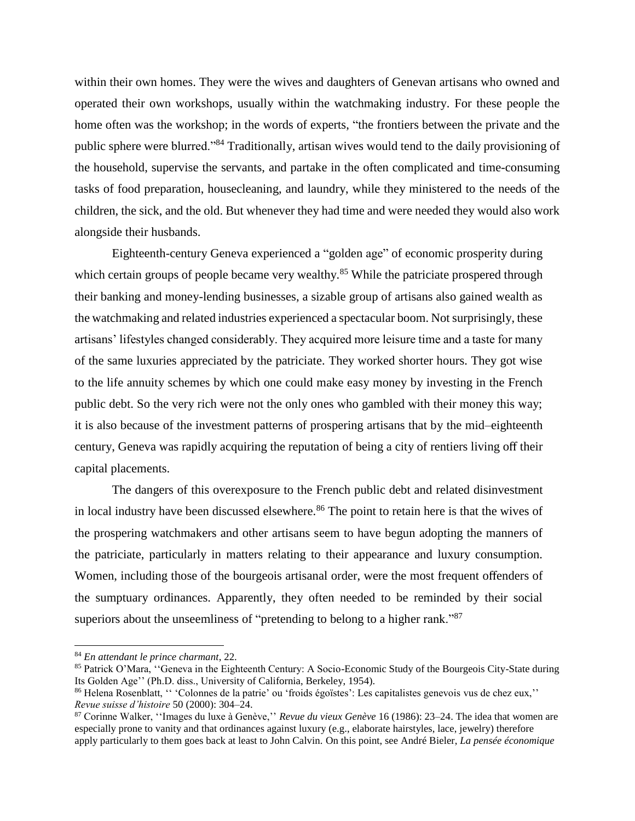within their own homes. They were the wives and daughters of Genevan artisans who owned and operated their own workshops, usually within the watchmaking industry. For these people the home often was the workshop; in the words of experts, "the frontiers between the private and the public sphere were blurred."<sup>84</sup> Traditionally, artisan wives would tend to the daily provisioning of the household, supervise the servants, and partake in the often complicated and time-consuming tasks of food preparation, housecleaning, and laundry, while they ministered to the needs of the children, the sick, and the old. But whenever they had time and were needed they would also work alongside their husbands.

Eighteenth-century Geneva experienced a "golden age" of economic prosperity during which certain groups of people became very wealthy.<sup>85</sup> While the patriciate prospered through their banking and money-lending businesses, a sizable group of artisans also gained wealth as the watchmaking and related industries experienced a spectacular boom. Not surprisingly, these artisans' lifestyles changed considerably. They acquired more leisure time and a taste for many of the same luxuries appreciated by the patriciate. They worked shorter hours. They got wise to the life annuity schemes by which one could make easy money by investing in the French public debt. So the very rich were not the only ones who gambled with their money this way; it is also because of the investment patterns of prospering artisans that by the mid–eighteenth century, Geneva was rapidly acquiring the reputation of being a city of rentiers living off their capital placements.

The dangers of this overexposure to the French public debt and related disinvestment in local industry have been discussed elsewhere.<sup>86</sup> The point to retain here is that the wives of the prospering watchmakers and other artisans seem to have begun adopting the manners of the patriciate, particularly in matters relating to their appearance and luxury consumption. Women, including those of the bourgeois artisanal order, were the most frequent offenders of the sumptuary ordinances. Apparently, they often needed to be reminded by their social superiors about the unseemliness of "pretending to belong to a higher rank."<sup>87</sup>

 $\overline{a}$ 

<sup>84</sup> *En attendant le prince charmant*, 22.

<sup>&</sup>lt;sup>85</sup> Patrick O'Mara, "Geneva in the Eighteenth Century: A Socio-Economic Study of the Bourgeois City-State during Its Golden Age'' (Ph.D. diss., University of California, Berkeley, 1954).

<sup>86</sup> Helena Rosenblatt, '' 'Colonnes de la patrie' ou 'froids égoïstes': Les capitalistes genevois vus de chez eux,'' *Revue suisse d'histoire* 50 (2000): 304–24.

<sup>87</sup> Corinne Walker, ''Images du luxe à Genève,'' *Revue du vieux Genève* 16 (1986): 23–24. The idea that women are especially prone to vanity and that ordinances against luxury (e.g., elaborate hairstyles, lace, jewelry) therefore apply particularly to them goes back at least to John Calvin. On this point, see André Bieler, *La pensée économique*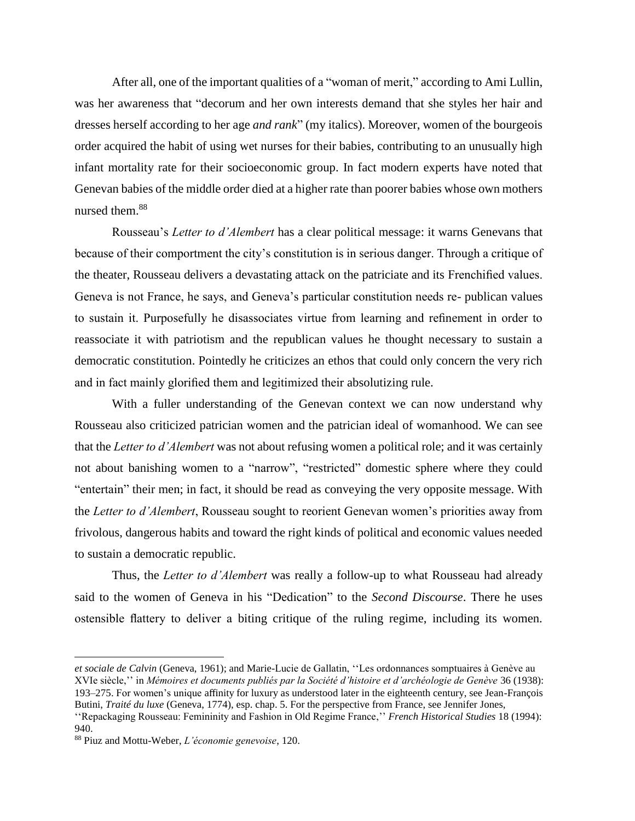After all, one of the important qualities of a "woman of merit," according to Ami Lullin, was her awareness that "decorum and her own interests demand that she styles her hair and dresses herself according to her age *and rank*" (my italics). Moreover, women of the bourgeois order acquired the habit of using wet nurses for their babies, contributing to an unusually high infant mortality rate for their socioeconomic group. In fact modern experts have noted that Genevan babies of the middle order died at a higher rate than poorer babies whose own mothers nursed them.<sup>88</sup>

Rousseau's *Letter to d'Alembert* has a clear political message: it warns Genevans that because of their comportment the city's constitution is in serious danger. Through a critique of the theater, Rousseau delivers a devastating attack on the patriciate and its Frenchified values. Geneva is not France, he says, and Geneva's particular constitution needs re- publican values to sustain it. Purposefully he disassociates virtue from learning and refinement in order to reassociate it with patriotism and the republican values he thought necessary to sustain a democratic constitution. Pointedly he criticizes an ethos that could only concern the very rich and in fact mainly glorified them and legitimized their absolutizing rule.

With a fuller understanding of the Genevan context we can now understand why Rousseau also criticized patrician women and the patrician ideal of womanhood. We can see that the *Letter to d'Alembert* was not about refusing women a political role; and it was certainly not about banishing women to a "narrow", "restricted" domestic sphere where they could "entertain" their men; in fact, it should be read as conveying the very opposite message. With the *Letter to d'Alembert*, Rousseau sought to reorient Genevan women's priorities away from frivolous, dangerous habits and toward the right kinds of political and economic values needed to sustain a democratic republic.

Thus, the *Letter to d'Alembert* was really a follow-up to what Rousseau had already said to the women of Geneva in his "Dedication" to the *Second Discourse*. There he uses ostensible flattery to deliver a biting critique of the ruling regime, including its women.

*et sociale de Calvin* (Geneva, 1961); and Marie-Lucie de Gallatin, ''Les ordonnances somptuaires à Genève au XVIe siècle,'' in *Mémoires et documents publiés par la Société d'histoire et d'archéologie de Genève* 36 (1938): 193–275. For women's unique affinity for luxury as understood later in the eighteenth century, see Jean-François Butini, *Traité du luxe* (Geneva, 1774), esp. chap. 5. For the perspective from France, see Jennifer Jones,

<sup>&#</sup>x27;'Repackaging Rousseau: Femininity and Fashion in Old Regime France,'' *French Historical Studies* 18 (1994): 940.

<sup>88</sup> Piuz and Mottu-Weber, *L'économie genevoise*, 120.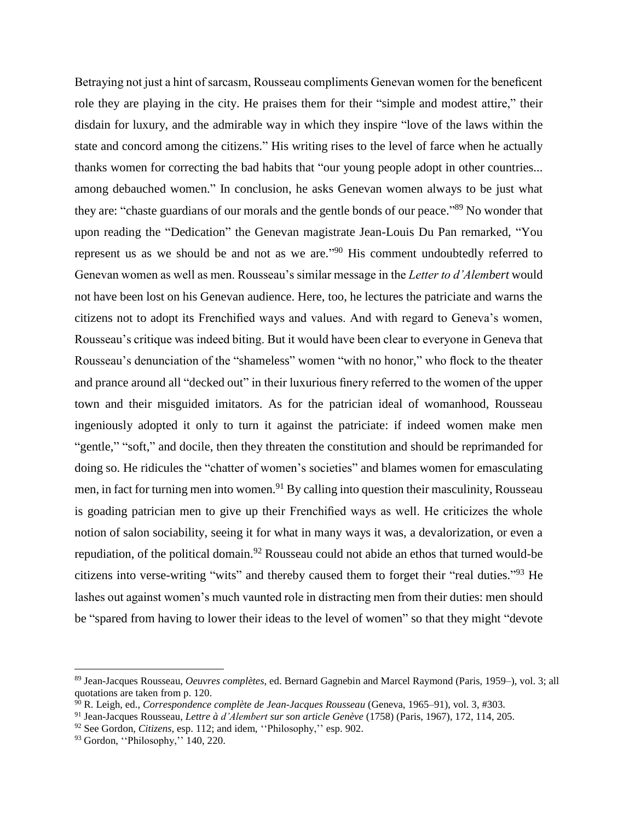Betraying not just a hint of sarcasm, Rousseau compliments Genevan women for the beneficent role they are playing in the city. He praises them for their "simple and modest attire," their disdain for luxury, and the admirable way in which they inspire "love of the laws within the state and concord among the citizens." His writing rises to the level of farce when he actually thanks women for correcting the bad habits that "our young people adopt in other countries... among debauched women." In conclusion, he asks Genevan women always to be just what they are: "chaste guardians of our morals and the gentle bonds of our peace."<sup>89</sup> No wonder that upon reading the "Dedication" the Genevan magistrate Jean-Louis Du Pan remarked, "You represent us as we should be and not as we are."<sup>90</sup> His comment undoubtedly referred to Genevan women as well as men. Rousseau's similar message in the *Letter to d'Alembert* would not have been lost on his Genevan audience. Here, too, he lectures the patriciate and warns the citizens not to adopt its Frenchified ways and values. And with regard to Geneva's women, Rousseau's critique was indeed biting. But it would have been clear to everyone in Geneva that Rousseau's denunciation of the "shameless" women "with no honor," who flock to the theater and prance around all "decked out" in their luxurious finery referred to the women of the upper town and their misguided imitators. As for the patrician ideal of womanhood, Rousseau ingeniously adopted it only to turn it against the patriciate: if indeed women make men "gentle," "soft," and docile, then they threaten the constitution and should be reprimanded for doing so. He ridicules the "chatter of women's societies" and blames women for emasculating men, in fact for turning men into women.<sup>91</sup> By calling into question their masculinity, Rousseau is goading patrician men to give up their Frenchified ways as well. He criticizes the whole notion of salon sociability, seeing it for what in many ways it was, a devalorization, or even a repudiation, of the political domain.<sup>92</sup> Rousseau could not abide an ethos that turned would-be citizens into verse-writing "wits" and thereby caused them to forget their "real duties."<sup>93</sup> He lashes out against women's much vaunted role in distracting men from their duties: men should be "spared from having to lower their ideas to the level of women" so that they might "devote

<sup>89</sup> Jean-Jacques Rousseau, *Oeuvres complètes*, ed. Bernard Gagnebin and Marcel Raymond (Paris, 1959–), vol. 3; all quotations are taken from p. 120.

<sup>90</sup> R. Leigh, ed., *Correspondence complète de Jean-Jacques Rousseau* (Geneva, 1965–91), vol. 3, #303.

<sup>91</sup> Jean-Jacques Rousseau, *Lettre à d'Alembert sur son article Genève* (1758) (Paris, 1967), 172, 114, 205.

<sup>92</sup> See Gordon, *Citizens*, esp. 112; and idem, ''Philosophy,'' esp. 902.

<sup>93</sup> Gordon, ''Philosophy,'' 140, 220.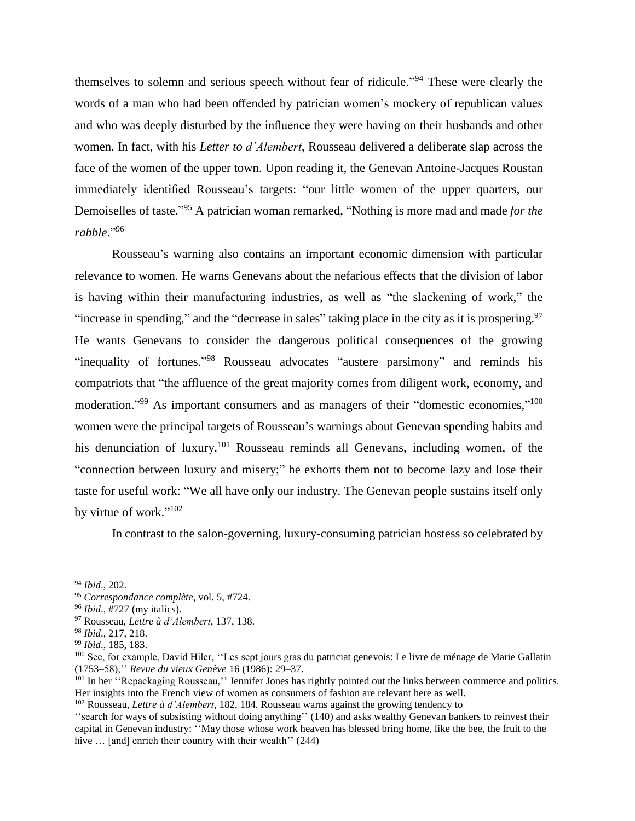themselves to solemn and serious speech without fear of ridicule."<sup>94</sup> These were clearly the words of a man who had been offended by patrician women's mockery of republican values and who was deeply disturbed by the influence they were having on their husbands and other women. In fact, with his *Letter to d'Alembert*, Rousseau delivered a deliberate slap across the face of the women of the upper town. Upon reading it, the Genevan Antoine-Jacques Roustan immediately identified Rousseau's targets: "our little women of the upper quarters, our Demoiselles of taste." <sup>95</sup> A patrician woman remarked, "Nothing is more mad and made *for the rabble*." 96

Rousseau's warning also contains an important economic dimension with particular relevance to women. He warns Genevans about the nefarious effects that the division of labor is having within their manufacturing industries, as well as "the slackening of work," the "increase in spending," and the "decrease in sales" taking place in the city as it is prospering.  $\frac{97}{2}$ He wants Genevans to consider the dangerous political consequences of the growing "inequality of fortunes."<sup>98</sup> Rousseau advocates "austere parsimony" and reminds his compatriots that "the affluence of the great majority comes from diligent work, economy, and moderation."<sup>99</sup> As important consumers and as managers of their "domestic economies,"<sup>100</sup> women were the principal targets of Rousseau's warnings about Genevan spending habits and his denunciation of luxury.<sup>101</sup> Rousseau reminds all Genevans, including women, of the "connection between luxury and misery;" he exhorts them not to become lazy and lose their taste for useful work: "We all have only our industry. The Genevan people sustains itself only by virtue of work."<sup>102</sup>

In contrast to the salon-governing, luxury-consuming patrician hostess so celebrated by

 $\overline{a}$ 

<sup>94</sup> *Ibid*., 202.

<sup>95</sup> *Correspondance complète*, vol. 5, #724.

<sup>96</sup> *Ibid*., #727 (my italics).

<sup>97</sup> Rousseau, *Lettre à d'Alembert*, 137, 138.

<sup>98</sup> *Ibid*., 217, 218.

<sup>99</sup> *Ibid*., 185, 183.

<sup>&</sup>lt;sup>100</sup> See, for example, David Hiler, "Les sept jours gras du patriciat genevois: Le livre de ménage de Marie Gallatin (1753–58),'' *Revue du vieux Genève* 16 (1986): 29–37.

<sup>&</sup>lt;sup>101</sup> In her "Repackaging Rousseau," Jennifer Jones has rightly pointed out the links between commerce and politics. Her insights into the French view of women as consumers of fashion are relevant here as well.

<sup>102</sup> Rousseau, *Lettre à d'Alembert*, 182, 184. Rousseau warns against the growing tendency to

<sup>&#</sup>x27;'search for ways of subsisting without doing anything'' (140) and asks wealthy Genevan bankers to reinvest their capital in Genevan industry: ''May those whose work heaven has blessed bring home, like the bee, the fruit to the hive ... [and] enrich their country with their wealth'' (244)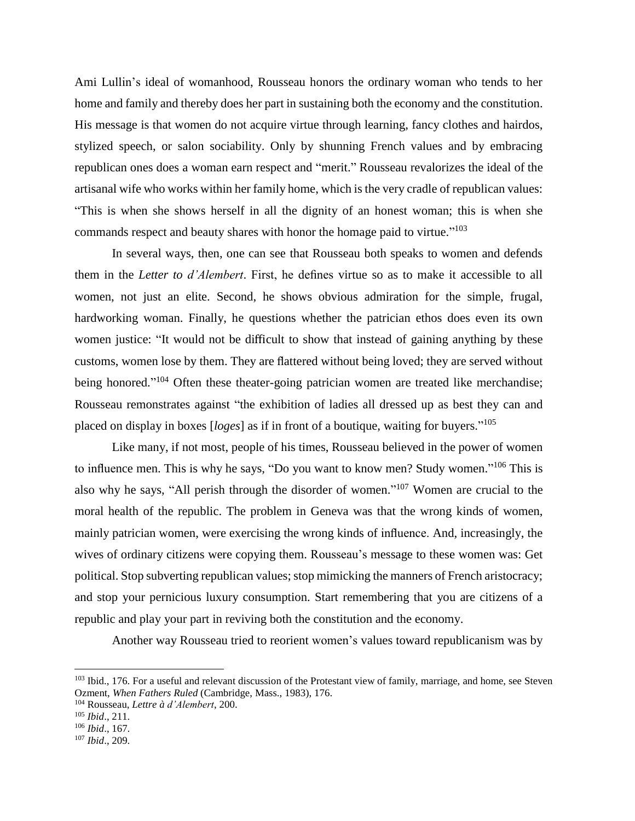Ami Lullin's ideal of womanhood, Rousseau honors the ordinary woman who tends to her home and family and thereby does her part in sustaining both the economy and the constitution. His message is that women do not acquire virtue through learning, fancy clothes and hairdos, stylized speech, or salon sociability. Only by shunning French values and by embracing republican ones does a woman earn respect and "merit." Rousseau revalorizes the ideal of the artisanal wife who works within her family home, which is the very cradle of republican values: "This is when she shows herself in all the dignity of an honest woman; this is when she commands respect and beauty shares with honor the homage paid to virtue."<sup>103</sup>

In several ways, then, one can see that Rousseau both speaks to women and defends them in the *Letter to d'Alembert*. First, he defines virtue so as to make it accessible to all women, not just an elite. Second, he shows obvious admiration for the simple, frugal, hardworking woman. Finally, he questions whether the patrician ethos does even its own women justice: "It would not be difficult to show that instead of gaining anything by these customs, women lose by them. They are flattered without being loved; they are served without being honored."<sup>104</sup> Often these theater-going patrician women are treated like merchandise; Rousseau remonstrates against "the exhibition of ladies all dressed up as best they can and placed on display in boxes [*loges*] as if in front of a boutique, waiting for buyers." 105

Like many, if not most, people of his times, Rousseau believed in the power of women to influence men. This is why he says, "Do you want to know men? Study women."<sup>106</sup> This is also why he says, "All perish through the disorder of women."<sup>107</sup> Women are crucial to the moral health of the republic. The problem in Geneva was that the wrong kinds of women, mainly patrician women, were exercising the wrong kinds of influence. And, increasingly, the wives of ordinary citizens were copying them. Rousseau's message to these women was: Get political. Stop subverting republican values; stop mimicking the manners of French aristocracy; and stop your pernicious luxury consumption. Start remembering that you are citizens of a republic and play your part in reviving both the constitution and the economy.

Another way Rousseau tried to reorient women's values toward republicanism was by

<sup>&</sup>lt;sup>103</sup> Ibid., 176. For a useful and relevant discussion of the Protestant view of family, marriage, and home, see Steven Ozment, *When Fathers Ruled* (Cambridge, Mass., 1983), 176.

<sup>104</sup> Rousseau, *Lettre à d'Alembert*, 200.

<sup>105</sup> *Ibid*., 211.

<sup>106</sup> *Ibid*., 167.

<sup>107</sup> *Ibid*., 209.